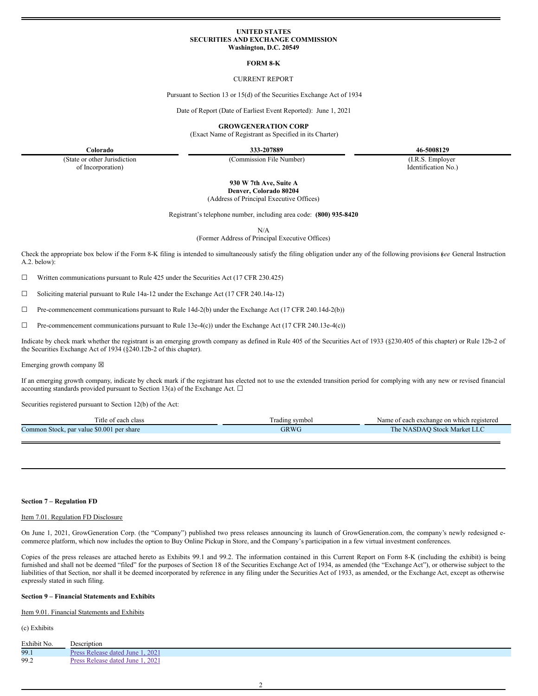### **UNITED STATES SECURITIES AND EXCHANGE COMMISSION Washington, D.C. 20549**

### **FORM 8-K**

### CURRENT REPORT

Pursuant to Section 13 or 15(d) of the Securities Exchange Act of 1934

Date of Report (Date of Earliest Event Reported): June 1, 2021

**GROWGENERATION CORP**

(Exact Name of Registrant as Specified in its Charter)

**Colorado 333-207889 46-5008129**

(State or other Jurisdiction of Incorporation)

(Commission File Number) (I.R.S. Employer

Identification No.)

**930 W 7th Ave, Suite A Denver, Colorado 80204**

(Address of Principal Executive Offices)

Registrant's telephone number, including area code: **(800) 935-8420**

N/A

(Former Address of Principal Executive Offices)

Check the appropriate box below if the Form 8-K filing is intended to simultaneously satisfy the filing obligation under any of the following provisions (*see* General Instruction A.2. below):

 $\Box$  Written communications pursuant to Rule 425 under the Securities Act (17 CFR 230.425)

☐ Soliciting material pursuant to Rule 14a-12 under the Exchange Act (17 CFR 240.14a-12)

☐ Pre-commencement communications pursuant to Rule 14d-2(b) under the Exchange Act (17 CFR 240.14d-2(b))

 $\Box$  Pre-commencement communications pursuant to Rule 13e-4(c)) under the Exchange Act (17 CFR 240.13e-4(c))

Indicate by check mark whether the registrant is an emerging growth company as defined in Rule 405 of the Securities Act of 1933 (§230.405 of this chapter) or Rule 12b-2 of the Securities Exchange Act of 1934 (§240.12b-2 of this chapter).

Emerging growth company  $\boxtimes$ 

If an emerging growth company, indicate by check mark if the registrant has elected not to use the extended transition period for complying with any new or revised financial accounting standards provided pursuant to Section 13(a) of the Exchange Act.  $\square$ 

Securities registered pursuant to Section 12(b) of the Act:

| Title of each class                          | l'radıng symbol | Name of each exchange on which registered |
|----------------------------------------------|-----------------|-------------------------------------------|
| Common Stock, par value \$0.001<br>per share | GRWC            | The 1<br>• NASDAO Stock Market LLC        |
|                                              |                 |                                           |

### **Section 7 – Regulation FD**

### Item 7.01. Regulation FD Disclosure

On June 1, 2021, GrowGeneration Corp. (the "Company") published two press releases announcing its launch of GrowGeneration.com, the company's newly redesigned ecommerce platform, which now includes the option to Buy Online Pickup in Store, and the Company's participation in a few virtual investment conferences.

Copies of the press releases are attached hereto as Exhibits 99.1 and 99.2. The information contained in this Current Report on Form 8-K (including the exhibit) is being furnished and shall not be deemed "filed" for the purposes of Section 18 of the Securities Exchange Act of 1934, as amended (the "Exchange Act"), or otherwise subject to the liabilities of that Section, nor shall it be deemed incorporated by reference in any filing under the Securities Act of 1933, as amended, or the Exchange Act, except as otherwise expressly stated in such filing.

## **Section 9 – Financial Statements and Exhibits**

Item 9.01. Financial Statements and Exhibits

(c) Exhibits

| Exhibit No. | Description                      |
|-------------|----------------------------------|
| 99.1        | Press Release dated June 1, 2021 |
| 99.2        | Press Release dated June 1, 2021 |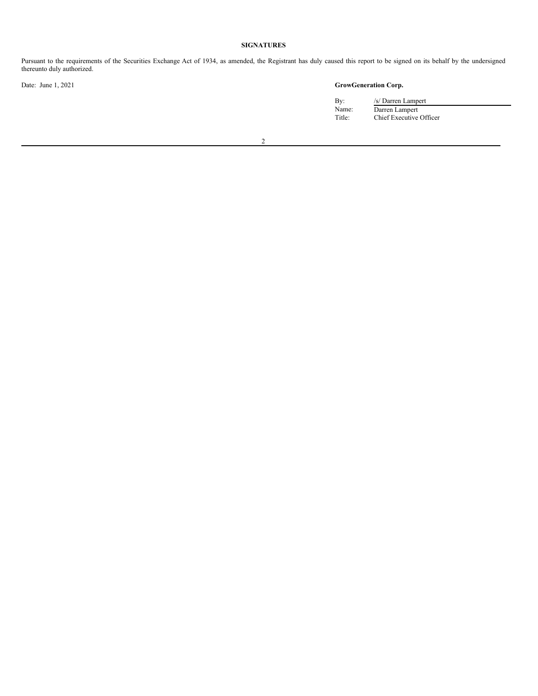# **SIGNATURES**

Pursuant to the requirements of the Securities Exchange Act of 1934, as amended, the Registrant has duly caused this report to be signed on its behalf by the undersigned thereunto duly authorized.

# Date: June 1, 2021 **GrowGeneration Corp.**

By:  $/s/Darren Lampert$ Name: Darren Lampert Title: Chief Executive Officer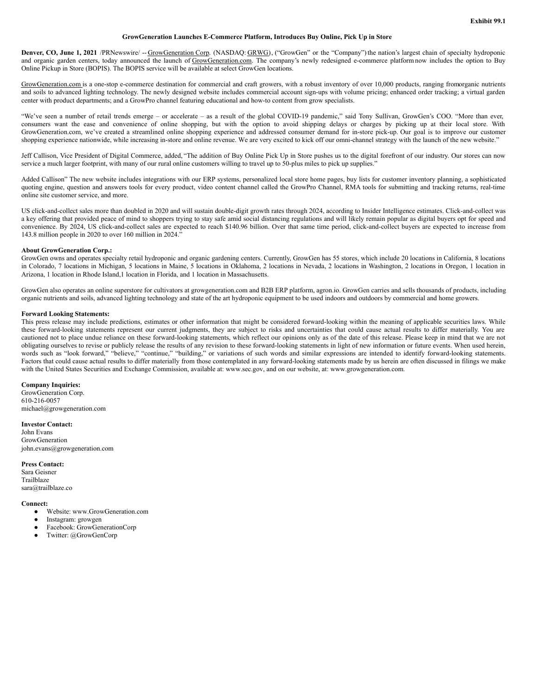### **GrowGeneration Launches E-Commerce Platform, Introduces Buy Online, Pick Up in Store**

<span id="page-2-0"></span>**Denver, CO, June 1, 2021** /PRNewswire/ -- GrowGeneration Corp. (NASDAQ: GRWG), ("GrowGen" or the "Company")the nation's largest chain of specialty hydroponic and organic garden centers, today announced the launch of GrowGeneration.com. The company's newly redesigned e-commerce platform now includes the option to Buy Online Pickup in Store (BOPIS). The BOPIS service will be available at select GrowGen locations.

GrowGeneration.com is a one-stop e-commerce destination for commercial and craft growers, with a robust inventory of over 10,000 products, ranging fromorganic nutrients and soils to advanced lighting technology. The newly designed website includes commercial account sign-ups with volume pricing; enhanced order tracking; a virtual garden center with product departments; and a GrowPro channel featuring educational and how-to content from grow specialists.

"We've seen a number of retail trends emerge – or accelerate – as a result of the global COVID-19 pandemic," said Tony Sullivan, GrowGen's COO. "More than ever, consumers want the ease and convenience of online shopping, but with the option to avoid shipping delays or charges by picking up at their local store. With GrowGeneration.com, we've created a streamlined online shopping experience and addressed consumer demand for in-store pick-up. Our goal is to improve our customer shopping experience nationwide, while increasing in-store and online revenue. We are very excited to kick off our omni-channel strategy with the launch of the new website."

Jeff Callison, Vice President of Digital Commerce, added, "The addition of Buy Online Pick Up in Store pushes us to the digital forefront of our industry. Our stores can now service a much larger footprint, with many of our rural online customers willing to travel up to 50-plus miles to pick up supplies."

Added Callison" The new website includes integrations with our ERP systems, personalized local store home pages, buy lists for customer inventory planning, a sophisticated quoting engine, question and answers tools for every product, video content channel called the GrowPro Channel, RMA tools for submitting and tracking returns, real-time online site customer service, and more.

US click-and-collect sales more than doubled in 2020 and will sustain double-digit growth rates through 2024, according to Insider Intelligence estimates. Click-and-collect was a key offering that provided peace of mind to shoppers trying to stay safe amid social distancing regulations and will likely remain popular as digital buyers opt for speed and convenience. By 2024, US click-and-collect sales are expected to reach \$140.96 billion. Over that same time period, click-and-collect buyers are expected to increase from 143.8 million people in 2020 to over 160 million in 2024."

### **About GrowGeneration Corp.:**

GrowGen owns and operates specialty retail hydroponic and organic gardening centers. Currently, GrowGen has 55 stores, which include 20 locations in California, 8 locations in Colorado, 7 locations in Michigan, 5 locations in Maine, 5 locations in Oklahoma, 2 locations in Nevada, 2 locations in Washington, 2 locations in Oregon, 1 location in Arizona, 1 location in Rhode Island,1 location in Florida, and 1 location in Massachusetts.

GrowGen also operates an online superstore for cultivators at growgeneration.com and B2B ERP platform, agron.io. GrowGen carries and sells thousands of products, including organic nutrients and soils, advanced lighting technology and state of the art hydroponic equipment to be used indoors and outdoors by commercial and home growers.

#### **Forward Looking Statements:**

This press release may include predictions, estimates or other information that might be considered forward-looking within the meaning of applicable securities laws. While these forward-looking statements represent our current judgments, they are subject to risks and uncertainties that could cause actual results to differ materially. You are cautioned not to place undue reliance on these forward-looking statements, which reflect our opinions only as of the date of this release. Please keep in mind that we are not obligating ourselves to revise or publicly release the results of any revision to these forward-looking statements in light of new information or future events. When used herein, words such as "look forward," "believe," "continue," "building," or variations of such words and similar expressions are intended to identify forward-looking statements. Factors that could cause actual results to differ materially from those contemplated in any forward-looking statements made by us herein are often discussed in filings we make with the United States Securities and Exchange Commission, available at: www.sec.gov, and on our website, at: www.growgeneration.com.

# **Company Inquiries:**

GrowGeneration Corp. 610-216-0057 michael@growgeneration.com

#### **Investor Contact:**

John Evans GrowGeneration john.evans@growgeneration.com

# **Press Contact:**

Sara Geisner Trailblaze sara@trailblaze.co

#### **Connect:**

- Website: www.GrowGeneration.com
- Instagram: growgen
- Facebook: GrowGenerationCorp
- Twitter: @GrowGenCorp